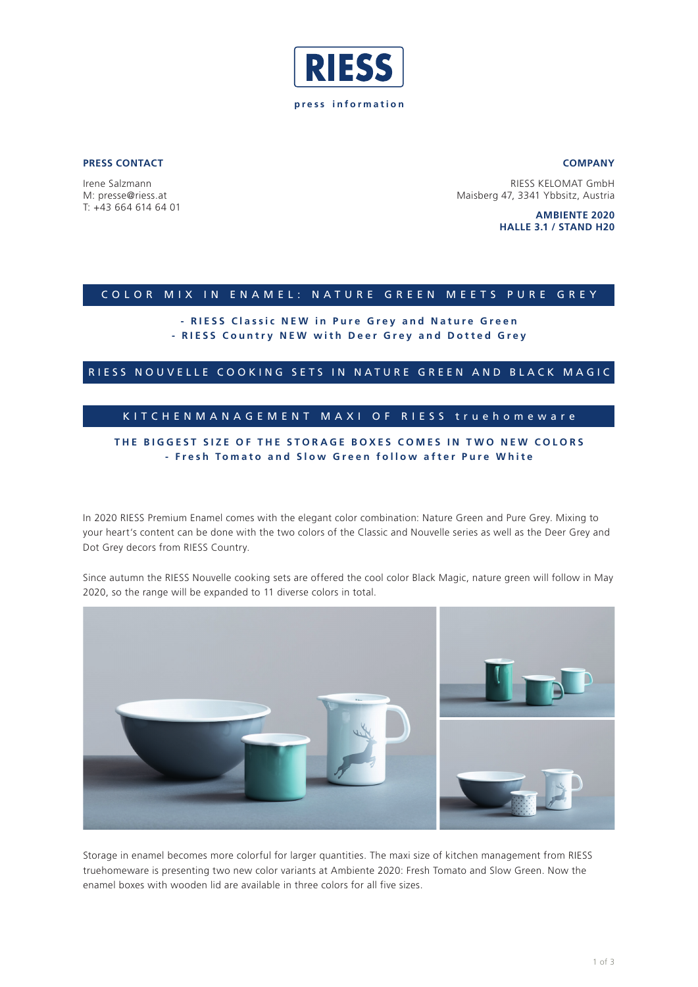

**PRESS CONTACT**

Irene Salzmann M: presse@riess.at T: +43 664 614 64 01

RIESS KELOMAT GmbH Maisberg 47, 3341 Ybbsitz, Austria

> **AMBIENTE 2020 HALLE 3.1 / STAND H20**

**COMPANY**

### COLOR MIX IN ENAMEL: NATURE GREEN MEETS PURE GREY

# **- RIESS Classic NEW in Pure Grey and Nature Green - RIESS Country NEW with Deer Grey and Dotted Grey**

RIESS NOUVELLE COOKING SETS IN NATURE GREEN AND BLACK MAGIC

# KITCHENMANAGEMENT MAXI OF RIESS truehomeware

# **THE BIGGEST SIZE OF THE STORAGE BOXES COMES IN TWO NEW COLORS - Fresh Tomato and Slow Green follow after Pure White**

In 2020 RIESS Premium Enamel comes with the elegant color combination: Nature Green and Pure Grey. Mixing to your heart's content can be done with the two colors of the Classic and Nouvelle series as well as the Deer Grey and Dot Grey decors from RIESS Country.

Since autumn the RIESS Nouvelle cooking sets are offered the cool color Black Magic, nature green will follow in May 2020, so the range will be expanded to 11 diverse colors in total.



Storage in enamel becomes more colorful for larger quantities. The maxi size of kitchen management from RIESS truehomeware is presenting two new color variants at Ambiente 2020: Fresh Tomato and Slow Green. Now the enamel boxes with wooden lid are available in three colors for all five sizes.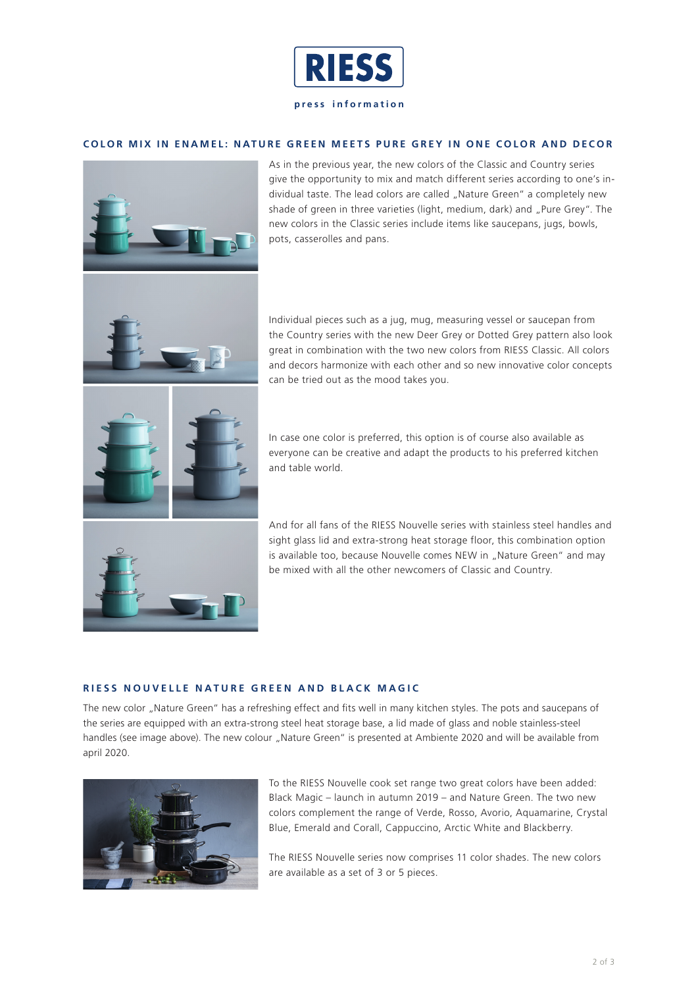

**press information**

### **COLOR MIX IN ENAMEL: NATURE GREEN MEETS PURE GREY IN ONE COLOR AND DECOR**



As in the previous year, the new colors of the Classic and Country series give the opportunity to mix and match different series according to one's individual taste. The lead colors are called "Nature Green" a completely new shade of green in three varieties (light, medium, dark) and "Pure Grey". The new colors in the Classic series include items like saucepans, jugs, bowls, pots, casserolles and pans.

Individual pieces such as a jug, mug, measuring vessel or saucepan from the Country series with the new Deer Grey or Dotted Grey pattern also look great in combination with the two new colors from RIESS Classic. All colors and decors harmonize with each other and so new innovative color concepts can be tried out as the mood takes you.

In case one color is preferred, this option is of course also available as everyone can be creative and adapt the products to his preferred kitchen and table world.

And for all fans of the RIESS Nouvelle series with stainless steel handles and sight glass lid and extra-strong heat storage floor, this combination option is available too, because Nouvelle comes NEW in "Nature Green" and may be mixed with all the other newcomers of Classic and Country.

### **RIESS NOUVELLE NATURE GREEN AND BLACK MAGIC**

The new color "Nature Green" has a refreshing effect and fits well in many kitchen styles. The pots and saucepans of the series are equipped with an extra-strong steel heat storage base, a lid made of glass and noble stainless-steel handles (see image above). The new colour "Nature Green" is presented at Ambiente 2020 and will be available from april 2020.



To the RIESS Nouvelle cook set range two great colors have been added: Black Magic – launch in autumn 2019 – and Nature Green. The two new colors complement the range of Verde, Rosso, Avorio, Aquamarine, Crystal Blue, Emerald and Corall, Cappuccino, Arctic White and Blackberry.

The RIESS Nouvelle series now comprises 11 color shades. The new colors are available as a set of 3 or 5 pieces.